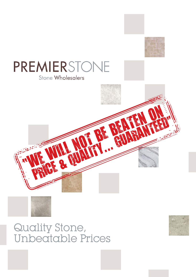

# **PREMIERSTONE** Stone Wholesalers





Quality Stone, Unbeatable Prices

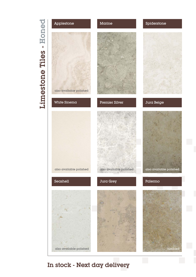# Limestone Tiles - Honed Limestone Tiles - Honed



# In stock - Next day delivery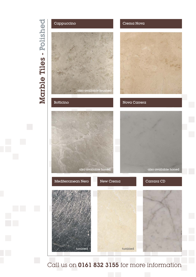# Marble Tiles - Polished Marble Tiles - Polished



Call us on 0161 832 3155 for more information

# Cappuccino Crema Nova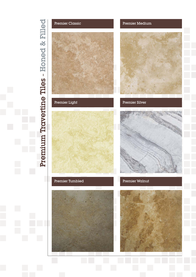

# Premier Classic **Premier Medium**

Premier Light Premier Silver





# Premier Tumbled





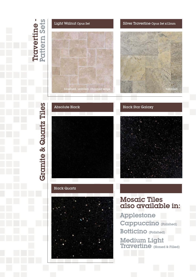



## Silver Travertine Opus Set x12mm

brushed, unfilled, chipped edge tumbled tumbled

# **Granite & Quartz Tiles** Granite & Quartz Tiles



**Absolute Black Black Star Galaxy** 



# Black Quartz



# Mosaic Tiles also available in:

Applestone Cappuccino (Polished) Botticino (Polished)

Medium Light Travertine (Honed & Filled)